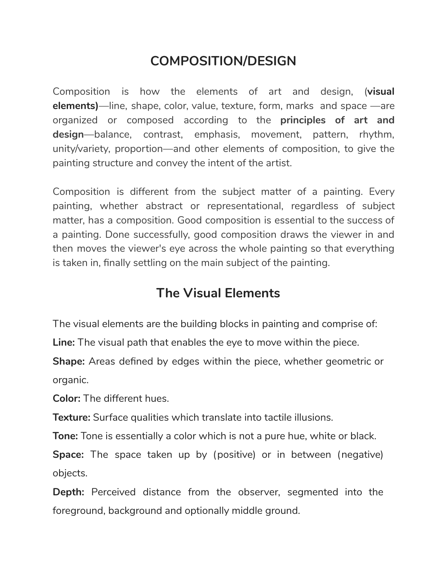# **COMPOSITION/DESIGN**

Composition is how the [elements](https://www.liveabout.com/negative-space-definition-2573838) of art and design, (**visual elements)**—line, shape, color, value, texture, form, marks and space —are organized or composed according to the **principles of art and design**—balance, contrast, emphasis, movement, pattern, rhythm, unity/variety, proportion—and other elements of composition, to give the painting structure and convey the intent of the artist.

Composition is different from the subject matter of a painting. Every painting, whether abstract or representational, regardless of subject matter, has a composition. Good composition is essential to the success of a painting. Done successfully, good composition draws the viewer in and then moves the viewer's eye across the whole painting so that everything is taken in, finally settling on the main subject of the painting.

# **The Visual Elements**

The visual elements are the building blocks in painting and comprise of:

**Line:** The visual path that enables the eye to move within the piece.

**Shape:** Areas defined by edges within the piece, whether geometric or organic.

**Color:** The different hues.

**Texture:** Surface qualities which translate into tactile illusions.

**Tone:** Tone is essentially a color which is not a pure hue, white or black.

**Space:** The space taken up by (positive) or in between (negative) objects.

**Depth:** Perceived distance from the observer, segmented into the foreground, background and optionally middle ground.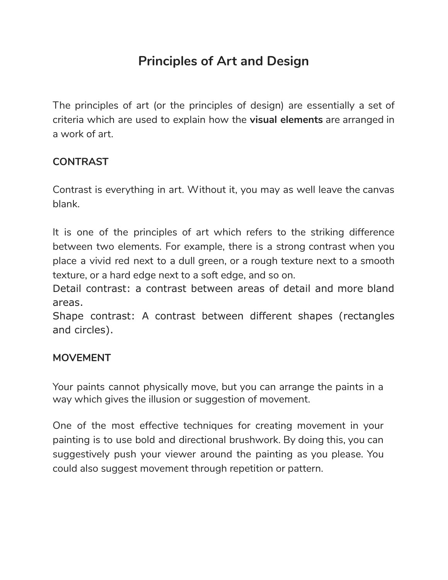# **Principles of Art and Design**

The principles of art (or the principles of design) are essentially a set of criteria which are used to explain how the **visual elements** are arranged in a work of art.

## **CONTRAST**

Contrast is everything in art. Without it, you may as well leave the canvas blank.

It is one of the principles of art which refers to the striking difference between two elements. For example, there is a strong contrast when you place a vivid red next to a dull green, or a rough texture next to a smooth texture, or a hard edge next to a soft edge, and so on.

Detail contrast: a contrast between areas of detail and more bland areas.

Shape contrast: A contrast between different shapes (rectangles and circles).

## **MOVEMENT**

Your paints cannot physically move, but you can arrange the paints in a way which gives the illusion or suggestion of movement.

One of the most effective techniques for creating movement in your painting is to use bold and directional brushwork. By doing this, you can suggestively push your viewer around the painting as you please. You could also suggest movement through repetition or pattern.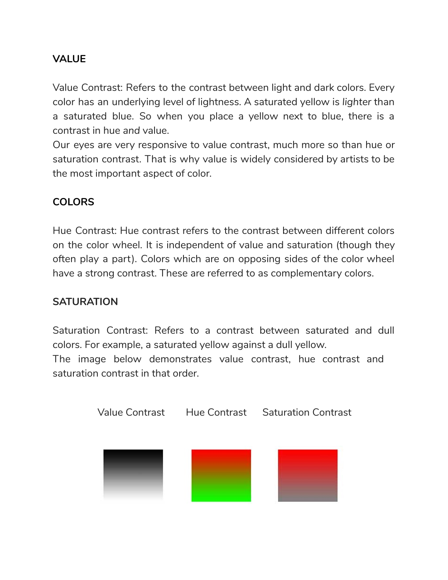# **VALUE**

Value Contrast: Refers to the contrast between light and dark colors. Every color has an underlying level of lightness. A saturated yellow is *lighter* than a saturated blue. So when you place a yellow next to blue, there is a contrast in hue *and* value.

Our eyes are very responsive to value contrast, much more so than hue or saturation contrast. That is why value is widely considered by artists to be the most important aspect of color.

## **COLORS**

Hue Contrast: Hue contrast refers to the contrast between different colors on the color wheel. It is independent of value and saturation (though they often play a part). Colors which are on opposing sides of the color wheel have a strong contrast. These are referred to as complementary colors.

## **SATURATION**

Saturation Contrast: Refers to a contrast between saturated and dull colors. For example, a saturated yellow against a dull yellow. The image below demonstrates value contrast, hue contrast and saturation contrast in that order.

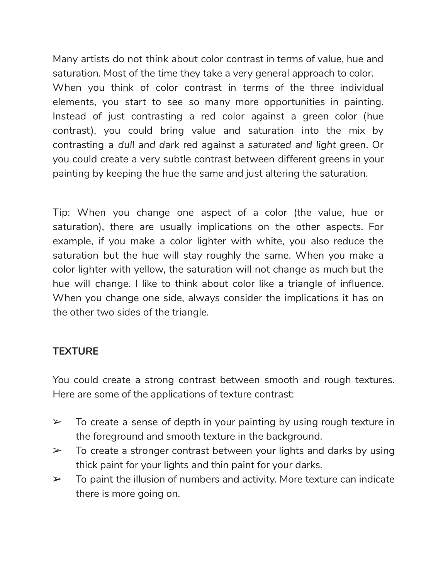Many artists do not think about color contrast in terms of value, hue and saturation. Most of the time they take a very general approach to color. When you think of color contrast in terms of the three individual elements, you start to see so many more opportunities in painting. Instead of just contrasting a red color against a green color (hue contrast), you could bring value and saturation into the mix by contrasting a *dull and dark* red against a *saturated and light* green. Or you could create a very subtle contrast between different greens in your painting by keeping the hue the same and just altering the saturation.

Tip: When you change one aspect of a color (the value, hue or saturation), there are usually implications on the other aspects. For example, if you make a color lighter with white, you also reduce the saturation but the hue will stay roughly the same. When you make a color lighter with yellow, the saturation will not change as much but the hue will change. I like to think about color like a triangle of influence. When you change one side, always consider the implications it has on the other two sides of the triangle.

## **TEXTURE**

You could create a strong contrast between smooth and rough textures. Here are some of the applications of texture contrast:

- $\geq$  To create a sense of depth in your painting by using rough texture in the foreground and smooth texture in the background.
- $\geq$  To create a stronger contrast between your lights and darks by using thick paint for your lights and thin paint for your darks.
- $\geq$  To paint the illusion of numbers and activity. More texture can indicate there is more going on.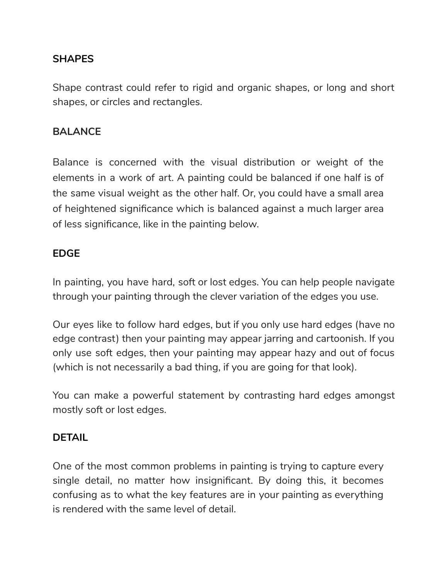## **SHAPES**

Shape contrast could refer to rigid and organic shapes, or long and short shapes, or circles and rectangles.

#### **BALANCE**

Balance is concerned with the visual distribution or weight of the elements in a work of art. A painting could be balanced if one half is of the same visual weight as the other half. Or, you could have a small area of heightened significance which is balanced against a much larger area of less significance, like in the painting below.

#### **EDGE**

In painting, you have hard, soft or lost edges. You can help people navigate through your painting through the clever variation of the edges you use.

Our eyes like to follow hard edges, but if you only use hard edges (have no edge contrast) then your painting may appear jarring and cartoonish. If you only use soft edges, then your painting may appear hazy and out of focus (which is not necessarily a bad thing, if you are going for that look).

You can make a powerful statement by contrasting hard edges amongst mostly soft or lost edges.

## **DETAIL**

One of the most common problems in painting is trying to capture every single detail, no matter how insignificant. By doing this, it becomes confusing as to what the key features are in your painting as everything is rendered with the same level of detail.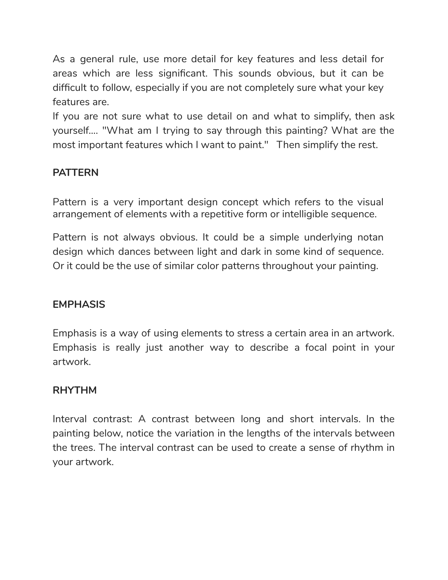As a general rule, use more detail for key features and less detail for areas which are less significant. This sounds obvious, but it can be difficult to follow, especially if you are not completely sure what your key features are.

If you are not sure what to use detail on and what to simplify, then ask yourself.... "What am I trying to say through this painting? What are the most important features which I want to paint." Then simplify the rest.

# **PATTERN**

Pattern is a very important design concept which refers to the visual arrangement of elements with a repetitive form or intelligible sequence.

Pattern is not always obvious. It could be a simple underlying notan design which dances between light and dark in some kind of sequence. Or it could be the use of similar color patterns throughout your painting.

## **EMPHASIS**

Emphasis is a way of using elements to stress a certain area in an artwork. Emphasis is really just another way to describe a focal point in your artwork.

## **RHYTHM**

Interval contrast: A contrast between long and short intervals. In the painting below, notice the variation in the lengths of the intervals between the trees. The interval contrast can be used to create a sense of rhythm in your artwork.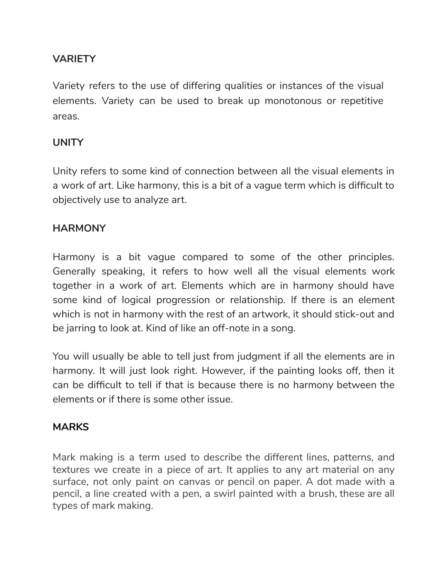# **VARIETY**

Variety refers to the use of differing qualities or instances of the visual elements. Variety can be used to break up monotonous or repetitive areas.

## **UNITY**

Unity refers to some kind of connection between all the visual elements in a work of art. Like harmony, this is a bit of a vague term which is difficult to objectively use to analyze art.

## **HARMONY**

Harmony is a bit vague compared to some of the other principles. Generally speaking, it refers to how well all the visual elements work together in a work of art. Elements which are in harmony should have some kind of logical progression or relationship. If there is an element which is not in harmony with the rest of an artwork, it should stick-out and be jarring to look at. Kind of like an off-note in a song.

You will usually be able to tell just from judgment if all the elements are in harmony. It will just look right. However, if the painting looks off, then it can be difficult to tell if that is because there is no harmony between the elements or if there is some other issue.

#### **MARKS**

Mark making is a term used to describe the different lines, patterns, and textures we create in a piece of art. It applies to any art material on any surface, not only paint on canvas or pencil on paper. A dot made with a pencil, a line created with a pen, a swirl painted with a brush, these are all types of mark making.